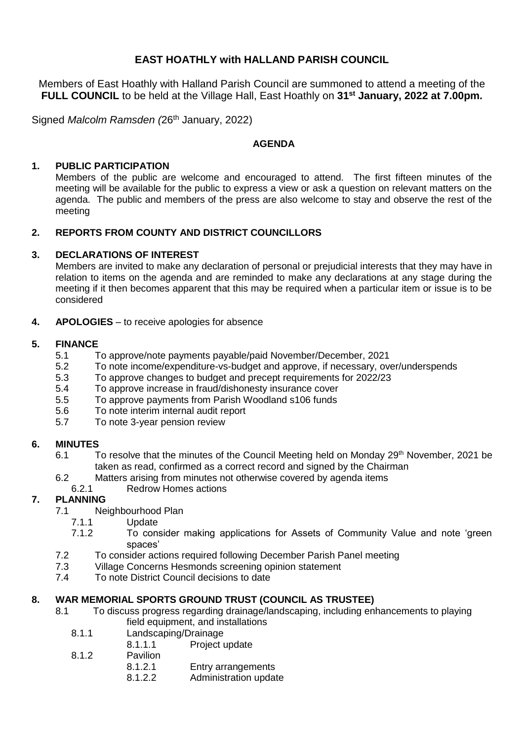# **EAST HOATHLY with HALLAND PARISH COUNCIL**

Members of East Hoathly with Halland Parish Council are summoned to attend a meeting of the **FULL COUNCIL** to be held at the Village Hall, East Hoathly on **31st January, 2022 at 7.00pm.**

Signed *Malcolm Ramsden (*26th January, 2022)

#### **AGENDA**

#### **1. PUBLIC PARTICIPATION**

Members of the public are welcome and encouraged to attend. The first fifteen minutes of the meeting will be available for the public to express a view or ask a question on relevant matters on the agenda. The public and members of the press are also welcome to stay and observe the rest of the meeting

### **2. REPORTS FROM COUNTY AND DISTRICT COUNCILLORS**

#### **3. DECLARATIONS OF INTEREST**

Members are invited to make any declaration of personal or prejudicial interests that they may have in relation to items on the agenda and are reminded to make any declarations at any stage during the meeting if it then becomes apparent that this may be required when a particular item or issue is to be considered

**4. APOLOGIES** – to receive apologies for absence

#### **5. FINANCE**

- 5.1 To approve/note payments payable/paid November/December, 2021
- 5.2 To note income/expenditure-vs-budget and approve, if necessary, over/underspends
- 5.3 To approve changes to budget and precept requirements for 2022/23
- 5.4 To approve increase in fraud/dishonesty insurance cover
- 5.5 To approve payments from Parish Woodland s106 funds
- 5.6 To note interim internal audit report
- 5.7 To note 3-year pension review

# **6. MINUTES**

- 6.1 To resolve that the minutes of the Council Meeting held on Monday 29<sup>th</sup> November, 2021 be taken as read, confirmed as a correct record and signed by the Chairman
- 6.2 Matters arising from minutes not otherwise covered by agenda items
- 6.2.1 Redrow Homes actions

# **7. PLANNING**

- 7.1 Neighbourhood Plan
	- 7.1.1 Update
	- 7.1.2 To consider making applications for Assets of Community Value and note 'green spaces'
- 7.2 To consider actions required following December Parish Panel meeting
- 7.3 Village Concerns Hesmonds screening opinion statement
- 7.4 To note District Council decisions to date

# **8. WAR MEMORIAL SPORTS GROUND TRUST (COUNCIL AS TRUSTEE)**

- 8.1 To discuss progress regarding drainage/landscaping, including enhancements to playing field equipment, and installations
	- 8.1.1 Landscaping/Drainage
		- 8.1.1.1 Project update
	- 8.1.2 Pavilion
		- 8.1.2.1 Entry arrangements
			- 8.1.2.2 Administration update